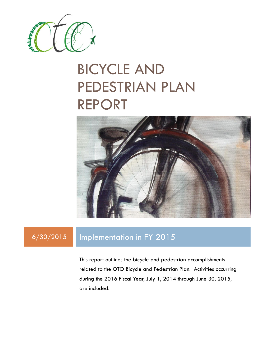

# BICYCLE AND PEDESTRIAN PLAN REPORT



### 6/30/2015 Implementation in FY 2015

This report outlines the bicycle and pedestrian accomplishments related to the OTO Bicycle and Pedestrian Plan. Activities occurring during the 2016 Fiscal Year, July 1, 2014 through June 30, 2015, are included.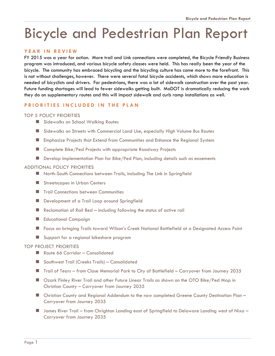## Bicycle and Pedestrian Plan Report

### **Y E A R I N R E V I E W**

FY 2015 was a year for action. More trail and Link connections were completed, the Bicycle Friendly Business program was introduced, and various bicycle safety classes were held. This has really been the year of the bicycle. The community has embraced bicycling and the bicycling culture has come more to the forefront. This is not without challenges, however. There were several fatal bicycle accidents, which shows more education is needed of bicyclists and drivers. For pedestrians, there was a lot of sidewalk construction over the past year. Future funding shortages will lead to fewer sidewalks getting built. MoDOT is dramatically reducing the work they do on supplementary routes and this will impact sidewalk and curb ramp installations as well.

### **PRIORITIES INCLUDED IN THE PLAN**

### TOP 5 POLICY PRIORITIES

- Sidewalks on School Walking Routes
- Sidewalks on Streets with Commercial Land Use, especially High Volume Bus Routes
- Emphasize Projects that Extend from Communities and Enhance the Regional System
- Complete Bike/Ped Projects with appropriate Roadway Projects
- **Develop Implementation Plan for Bike/Ped Plan, including details such as easements**

### ADDITIONAL POLICY PRIORITIES

- North-South Connections between Trails, including The Link in Springfield
- Streetscapes in Urban Centers
- **Trail Connections between Communities**
- Development of a Trail Loop around Springfield
- Reclamation of Rail Bed including following the status of active rail
- Educational Campaign
- Focus on bringing Trails toward Wilson's Creek National Battlefield at a Designated Access Point
- Support for a regional bikeshare program

#### TOP PROJECT PRIORITIES

- Route 66 Corridor Consolidated
- Southwest Trail (Creeks Trails) Consolidated
- Trail of Tears from Close Memorial Park to City of Battlefield Carryover from Journey 2035
- Ozark Finley River Trail and other Future Linear Trails as shown on the OTO Bike/Ped Map in Christian County – Carryover from Journey 2035
- Christian County and Regional Addendum to the now completed Greene County Destination Plan Carryover from Journey 2035
- James River Trail from Chrighton Landing east of Springfield to Delaware Landing west of Nixa Carryover from Journey 2035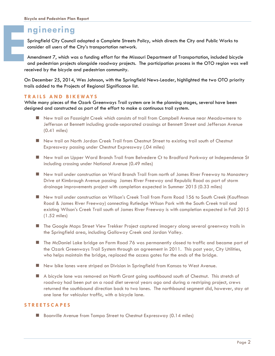### **ngineering**

Springfield City Council adopted a Complete Streets Policy, which directs the City and Public Works to consider all users of the City's transportation network.

Amendment 7, which was a funding effort for the Missouri Department of Transportation, included bicycle and pedestrian projects alongside roadway projects. The participation process in the OTO region was well received by the bicycle and pedestrian community. **E**

On December 25, 2014, Wes Johnson, with the Springfield News-Leader, highlighted the two OTO priority trails added to the Projects of Regional Significance list.

### **T R A I L S A N D B I K E W AY S**

While many pieces of the Ozark Greenways Trail system are in the planning stages, several have been designed and constructed as part of the effort to make a continuous trail system.

- New trail on Fassnight Creek which consists of trail from Campbell Avenue near Meadowmere to Jefferson at Bennett including grade-separated crossings at Bennett Street and Jefferson Avenue (0.41 miles)
- New trail on North Jordan Creek Trail from Chestnut Street to existing trail south of Chestnut Expressway passing under Chestnut Expressway (.04 miles)
- New trail on Upper Ward Branch Trail from Belvedere Ct to Bradford Parkway at Independence St including crossing under National Avenue (0.49 miles)
- New trail under construction on Ward Branch Trail from north of James River Freeway to Monastery Drive at Kimbrough Avenue passing James River Freeway and Republic Road as part of storm drainage improvements project with completion expected in Summer 2015 (0.33 miles)
- New trail under construction on Wilson's Creek Trail from Farm Road 156 to South Creek (Kauffman Road & James River Freeway) connecting Rutledge Wilson Park with the South Creek trail and existing Wilson's Creek Trail south of James River Freeway is with completion expected in Fall 2015 (1.52 miles)
- The Google Maps Street View Trekker Project captured imagery along several greenway trails in the Springfield area, including Galloway Creek and Jordan Valley.
- The McDaniel Lake bridge on Farm Road 76 was permanently closed to traffic and became part of the Ozark Greenways Trail System through an agreement in 2011. This past year, City Utilities, who helps maintain the bridge, replaced the access gates for the ends of the bridge.
- New bike lanes were striped on Division in Springfield from Kansas to West Avenue.
- A bicycle lane was removed on North Grant going southbound south of Chestnut. This stretch of roadway had been put on a road diet several years ago and during a restriping project, crews returned the southbound direction back to two lanes. The northbound segment did, however, stay at one lane for vehicular traffic, with a bicycle lane.

### **S T R E E T S C A P E S**

■ Boonville Avenue from Tampa Street to Chestnut Expressway (0.14 miles)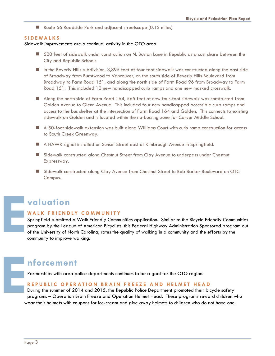Route 66 Roadside Park and adjacent streetscape (0.12 miles)

#### **S I D E W A L K S**

Sidewalk improvements are a continual activity in the OTO area.

- 500 feet of sidewalk under construction on N. Boston Lane in Republic as a cost share between the City and Republic Schools
- In the Beverly Hills subdivision, 3,895 feet of four foot sidewalk was constructed along the east side of Broadway from Burntwood to Vancouver, on the south side of Beverly Hills Boulevard from Broadway to Farm Road 151, and along the north side of Farm Road 96 from Broadway to Farm Road 151. This included 10 new handicapped curb ramps and one new marked crosswalk.
- Along the north side of Farm Road 164, 565 feet of new four-foot sidewalk was constructed from Golden Avenue to Glenn Avenue. This included four new handicapped accessible curb ramps and access to the bus shelter at the intersection of Farm Road 164 and Golden. This connects to existing sidewalk on Golden and is located within the no-bussing zone for Carver Middle School.
- A 50-foot sidewalk extension was built along Williams Court with curb ramp construction for access to South Creek Greenway.
- A HAWK signal installed on Sunset Street east of Kimbrough Avenue in Springfield.
- **E** Sidewalk constructed along Chestnut Street from Clay Avenue to underpass under Chestnut Expressway.
- Sidewalk constructed along Clay Avenue from Chestnut Street to Bob Barker Boulevard on OTC Campus.

# **valuation E**

### **W A L K F R I E N D L Y C O M M U N I T Y**

Springfield submitted a Walk Friendly Communities application. Similar to the Bicycle Friendly Communities program by the League of American Bicyclists, this Federal Highway Administration Sponsored program out of the University of North Carolina, rates the quality of walking in a community and the efforts by the community to improve walking.

### **nforcement**

Partnerships with area police departments continues to be a goal for the OTO region.

#### **R E P U B L I C O P E R A T I O N B R A I N F R E E Z E A N D H E L M E T H E A D**

During the summer of 2014 and 2015, the Republic Police Department promoted their bicycle safety programs – Operation Brain Freeze and Operation Helmet Head. These programs reward children who wear their helmets with coupons for ice-cream and give away helmets to children who do not have one. **E**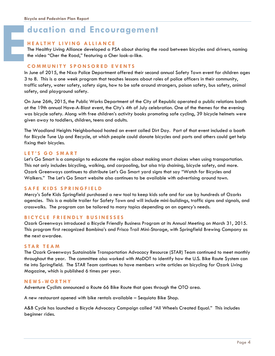### **ducation and Encouragement**

### **H E A L T H Y L I V I N G A L L I A N C E**

The Healthy Living Alliance developed a PSA about sharing the road between bicycles and drivers, naming the video "Cher the Road," featuring a Cher look-a-like.

### **C O M M U N I T Y S P O N S O R E D E V E N T S**

In June of 2015, the Nixa Police Department offered their second annual Safety Town event for children ages 3 to 8. This is a one week program that teaches lessons about roles of police officers in their community, traffic safety, water safety, safety signs, how to be safe around strangers, poison safety, bus safety, animal safety, and playground safety.

On June 26th, 2015, the Public Works Department of the City of Republic operated a public relations booth at the 19th annual Have-A-Blast event, the City's 4th of July celebration. One of the themes for the evening was bicycle safety. Along with free children's activity books promoting safe cycling, 39 bicycle helmets were given away to toddlers, children, teens and adults.

The Woodland Heights Neighborhood hosted an event called Dirt Day. Part of that event included a booth for Bicycle Tune Up and Recycle, at which people could donate bicycles and parts and others could get help fixing their bicycles.

### **L E T ' S G O S M A R T**

Let's Go Smart is a campaign to educate the region about making smart choices when using transportation. This not only includes bicycling, walking, and carpooling, but also trip chaining, bicycle safety, and more. Ozark Greenways continues to distribute Let's Go Smart yard signs that say "Watch for Bicycles and Walkers." The Let's Go Smart website also continues to be available with advertising around town.

### **SAFE KIDS SPRINGFIELD**

Mercy's Safe Kids Springfield purchased a new tool to keep kids safe and for use by hundreds of Ozarks agencies. This is a mobile trailer for Safety Town and will include mini-buildings, traffic signs and signals, and crosswalks. The program can be tailored to many topics depending on an agency's needs.

### **B I C Y C L E F R I E N D L Y B U S I N E S S E S**

Ozark Greenways introduced a Bicycle Friendly Business Program at its Annual Meeting on March 31, 2015. This program first recognized Bambino's and Frisco Trail Mini-Storage, with Springfield Brewing Company as the next awardee.

### **S T A R T E A M**

The Ozark Greenways Sustainable Transportation Advocacy Resource (STAR) Team continued to meet monthly throughout the year. The committee also worked with MoDOT to identify how the U.S. Bike Route System can tie into Springfield. The STAR Team continues to have members write articles on bicycling for Ozark Living Magazine, which is published 6 times per year.

### **N E W S - W O R T H Y**

Adventure Cyclists announced a Route 66 Bike Route that goes through the OTO area.

A new restaurant opened with bike rentals available – Sequiota Bike Shop.

A&B Cycle has launched a Bicycle Advocacy Campaign called "All Wheels Created Equal." This includes beginner rides.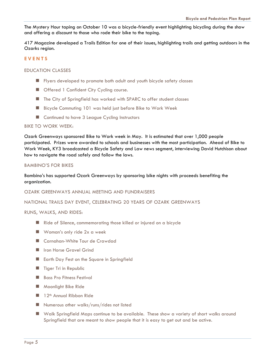The Mystery Hour taping on October 10 was a bicycle-friendly event highlighting bicycling during the show and offering a discount to those who rode their bike to the taping.

417 Magazine developed a Trails Edition for one of their issues, highlighting trails and getting outdoors in the Ozarks region.

### **E V E N T S**

### EDUCATION CLASSES

- **Figure 1** Flyers developed to promote both adult and youth bicycle safety classes
- **Deta** Offered 1 Confident City Cycling course.
- The City of Springfield has worked with SPARC to offer student classes
- Bicycle Commuting 101 was held just before Bike to Work Week
- Continued to have 3 League Cycling Instructors

### BIKE TO WORK WEEK:

Ozark Greenways sponsored Bike to Work week in May. It is estimated that over 1,000 people participated. Prizes were awarded to schools and businesses with the most participation. Ahead of Bike to Work Week, KY3 broadcasted a Bicycle Safety and Law news segment, interviewing David Hutchison about how to navigate the road safely and follow the laws.

### BAMBINO'S FOR BIKES

Bambino's has supported Ozark Greenways by sponsoring bike nights with proceeds benefiting the organization.

OZARK GREENWAYS ANNUAL MEETING AND FUNDRAISERS

NATIONAL TRAILS DAY EVENT, CELEBRATING 20 YEARS OF OZARK GREENWAYS

### RUNS, WALKS, AND RIDES:

- Ride of Silence, commemorating those killed or injured on a bicycle
- Woman's only ride 2x a week
- Carnahan-White Tour de Crawdad
- **I** Iron Horse Gravel Grind
- **Earth Day Fest on the Square in Springfield**
- **Tiger Tri in Republic**
- Bass Pro Fitness Festival
- **Moonlight Bike Ride**
- $\blacksquare$  12<sup>th</sup> Annual Ribbon Ride
- Numerous other walks/runs/rides not listed
- Walk Springfield Maps continue to be available. These show a variety of short walks around Springfield that are meant to show people that it is easy to get out and be active.